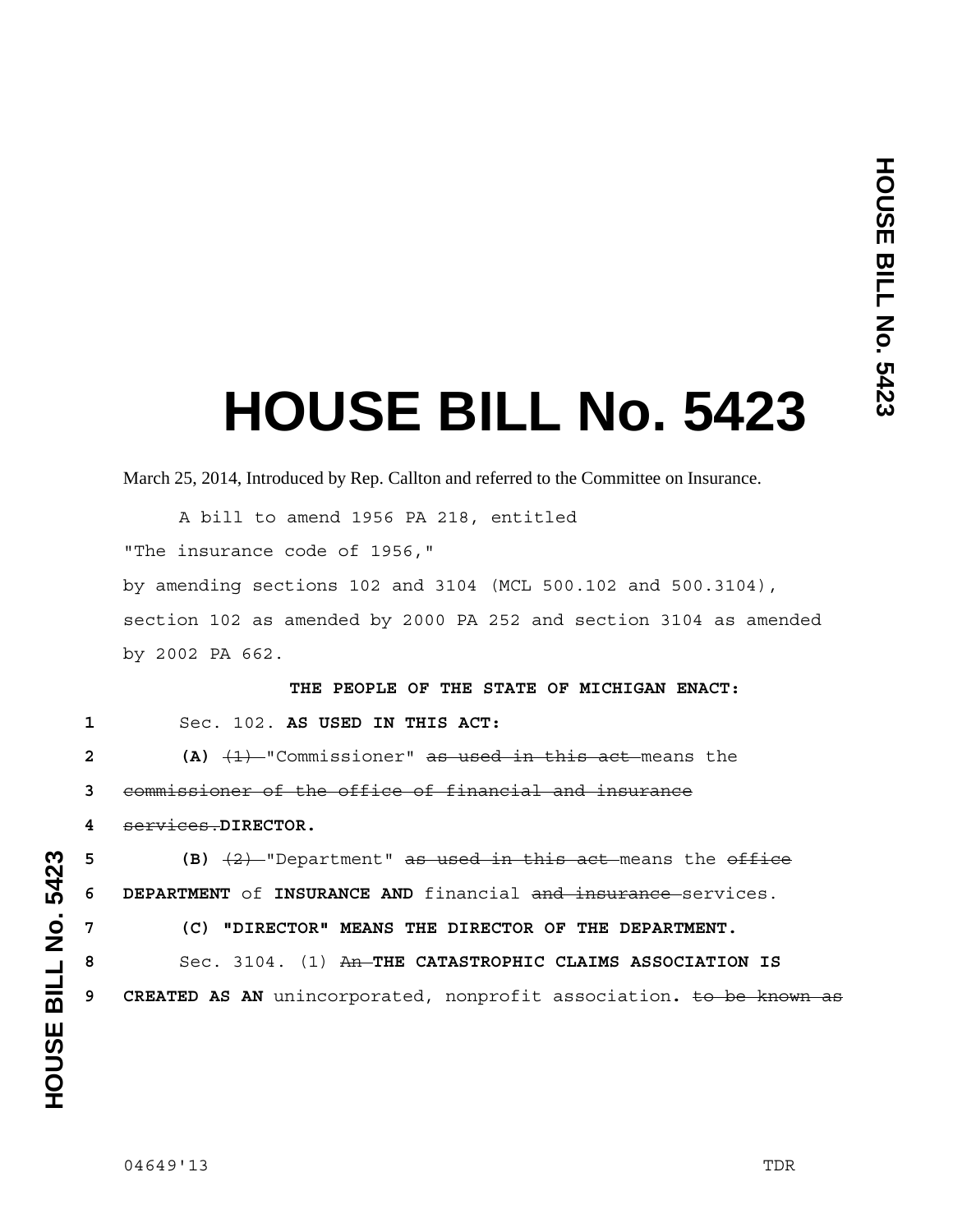## **HOUSE BILL No. 5423**

## March 25, 2014, Introduced by Rep. Callton and referred to the Committee on Insurance.

 A bill to amend 1956 PA 218, entitled "The insurance code of 1956," by amending sections 102 and 3104 (MCL 500.102 and 500.3104), section 102 as amended by 2000 PA 252 and section 3104 as amended by 2002 PA 662.

## **THE PEOPLE OF THE STATE OF MICHIGAN ENACT:**

| ۰, |
|----|
|    |
|    |

**1** Sec. 102. **AS USED IN THIS ACT:** 

**2 (A)**  $\overline{(1)}$  "Commissioner" as used in this act means the

**3** commissioner of the office of financial and insurance

**4** services.**DIRECTOR.**

**5 (B)**  $\left(2\right)$ -"Department" as used in this act means the office **6 DEPARTMENT** of **INSURANCE AND** financial and insurance services.

**7 (C) "DIRECTOR" MEANS THE DIRECTOR OF THE DEPARTMENT.** 

**8** Sec. 3104. (1) An **THE CATASTROPHIC CLAIMS ASSOCIATION IS 9 CREATED AS AN** unincorporated, nonprofit association**.** to be known as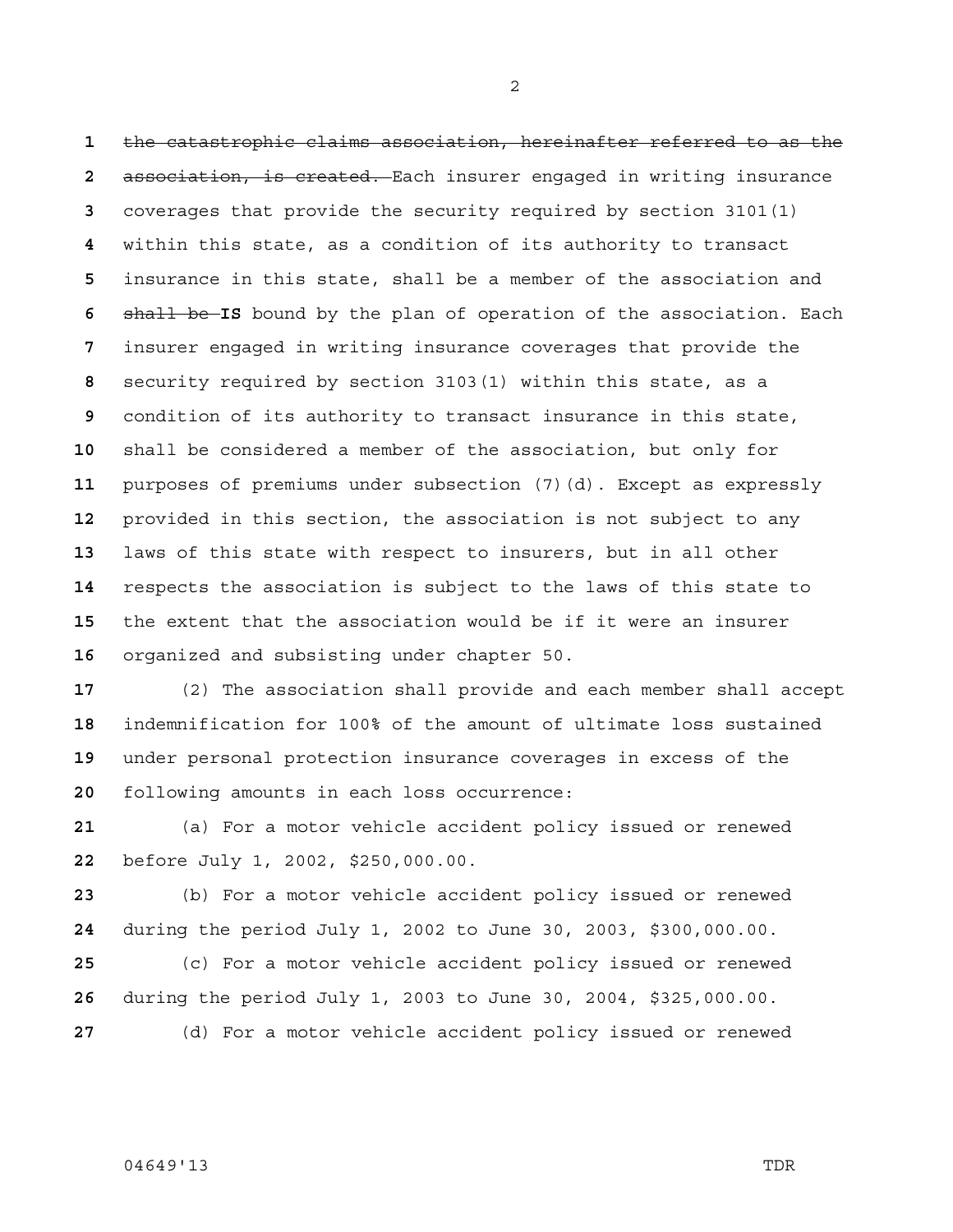the catastrophic claims association, hereinafter referred to as the association, is created. Each insurer engaged in writing insurance coverages that provide the security required by section 3101(1) within this state, as a condition of its authority to transact insurance in this state, shall be a member of the association and shall be **IS** bound by the plan of operation of the association. Each insurer engaged in writing insurance coverages that provide the security required by section 3103(1) within this state, as a condition of its authority to transact insurance in this state, shall be considered a member of the association, but only for purposes of premiums under subsection (7)(d). Except as expressly provided in this section, the association is not subject to any laws of this state with respect to insurers, but in all other respects the association is subject to the laws of this state to the extent that the association would be if it were an insurer organized and subsisting under chapter 50.

(2) The association shall provide and each member shall accept indemnification for 100% of the amount of ultimate loss sustained under personal protection insurance coverages in excess of the following amounts in each loss occurrence:

(a) For a motor vehicle accident policy issued or renewed before July 1, 2002, \$250,000.00.

(b) For a motor vehicle accident policy issued or renewed during the period July 1, 2002 to June 30, 2003, \$300,000.00.

(c) For a motor vehicle accident policy issued or renewed during the period July 1, 2003 to June 30, 2004, \$325,000.00. (d) For a motor vehicle accident policy issued or renewed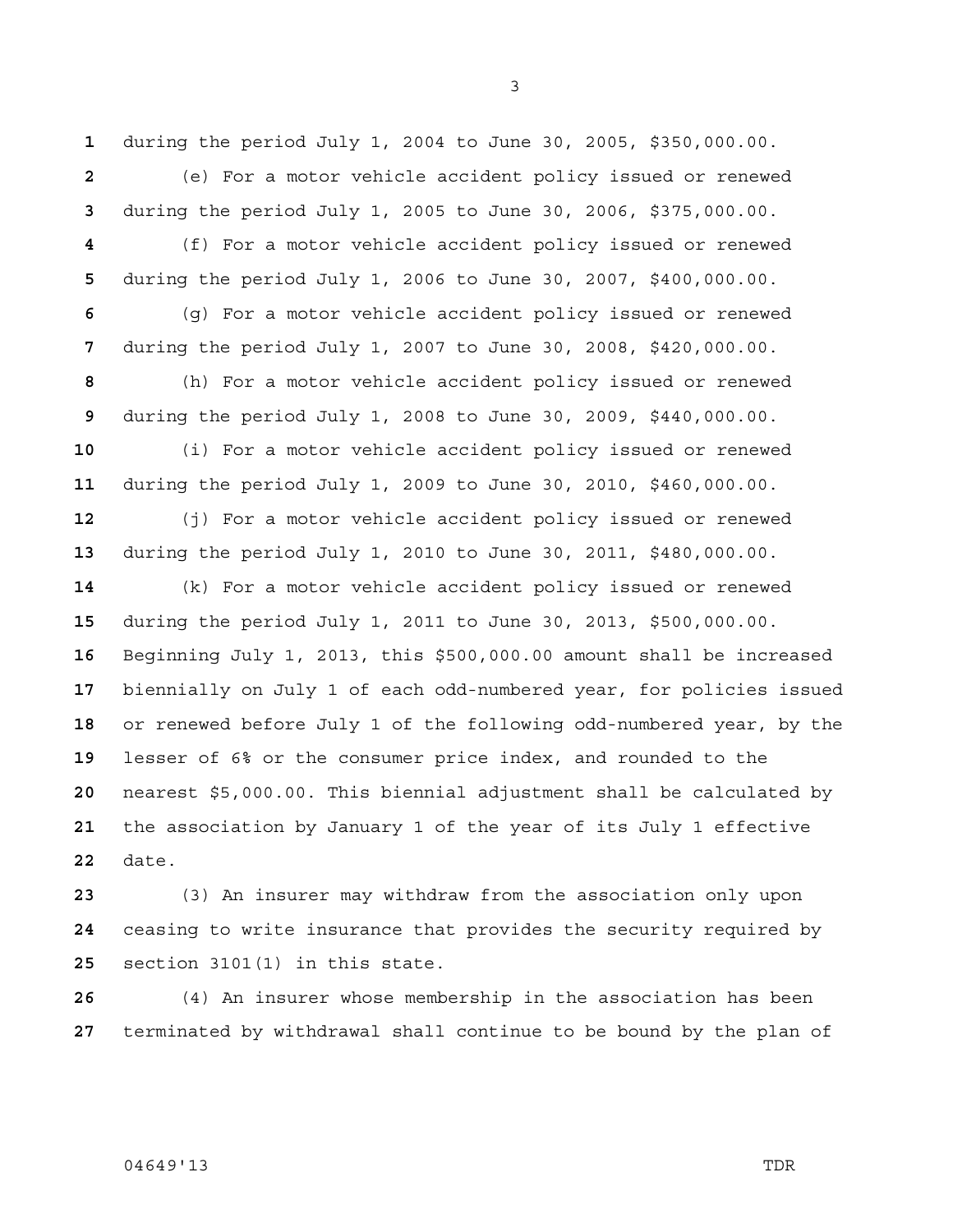during the period July 1, 2004 to June 30, 2005, \$350,000.00.

(e) For a motor vehicle accident policy issued or renewed during the period July 1, 2005 to June 30, 2006, \$375,000.00.

(f) For a motor vehicle accident policy issued or renewed during the period July 1, 2006 to June 30, 2007, \$400,000.00.

(g) For a motor vehicle accident policy issued or renewed during the period July 1, 2007 to June 30, 2008, \$420,000.00.

(h) For a motor vehicle accident policy issued or renewed during the period July 1, 2008 to June 30, 2009, \$440,000.00.

(i) For a motor vehicle accident policy issued or renewed during the period July 1, 2009 to June 30, 2010, \$460,000.00.

(j) For a motor vehicle accident policy issued or renewed during the period July 1, 2010 to June 30, 2011, \$480,000.00.

(k) For a motor vehicle accident policy issued or renewed during the period July 1, 2011 to June 30, 2013, \$500,000.00. Beginning July 1, 2013, this \$500,000.00 amount shall be increased biennially on July 1 of each odd-numbered year, for policies issued or renewed before July 1 of the following odd-numbered year, by the lesser of 6% or the consumer price index, and rounded to the nearest \$5,000.00. This biennial adjustment shall be calculated by the association by January 1 of the year of its July 1 effective date.

(3) An insurer may withdraw from the association only upon ceasing to write insurance that provides the security required by section 3101(1) in this state.

(4) An insurer whose membership in the association has been terminated by withdrawal shall continue to be bound by the plan of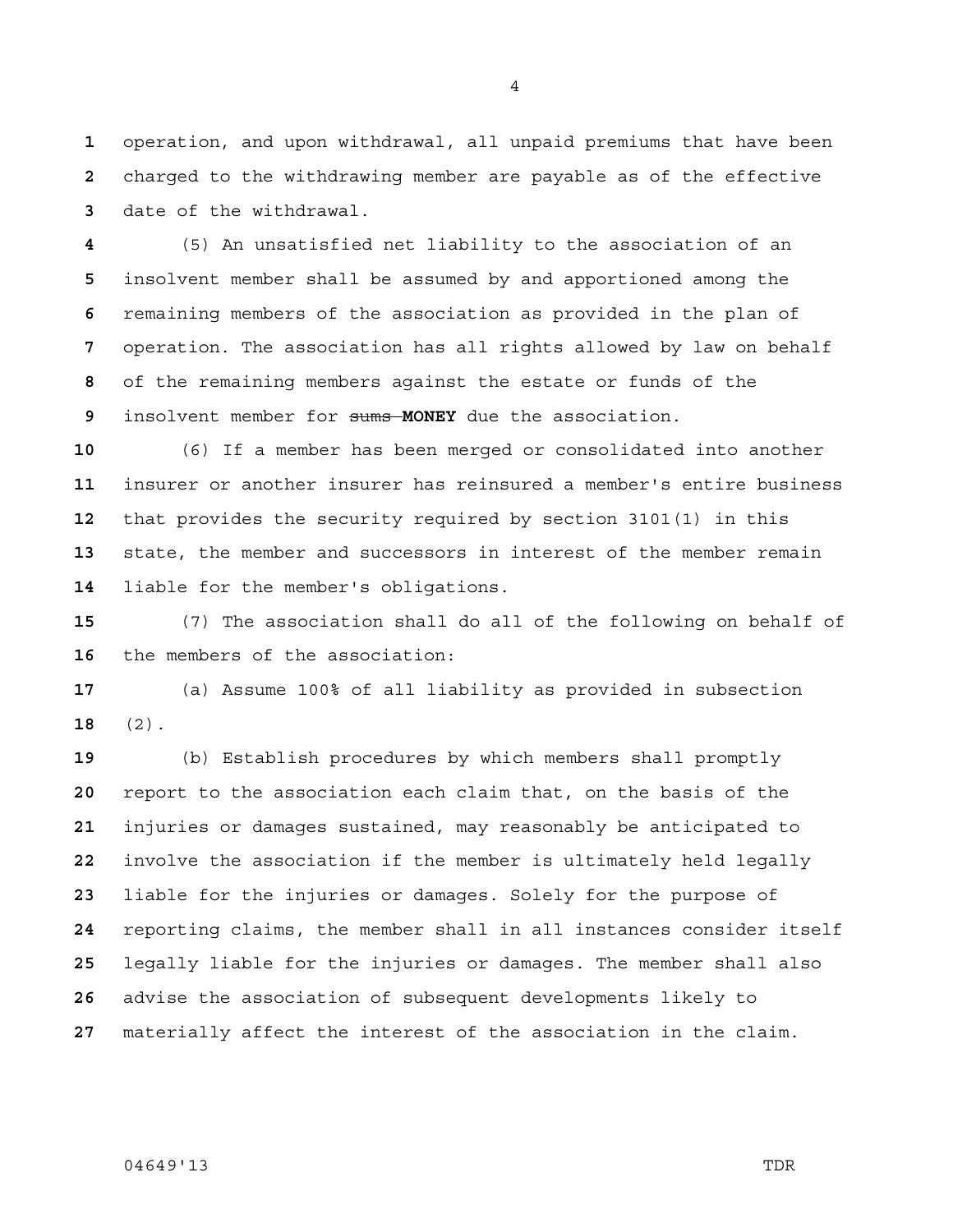operation, and upon withdrawal, all unpaid premiums that have been charged to the withdrawing member are payable as of the effective date of the withdrawal.

(5) An unsatisfied net liability to the association of an insolvent member shall be assumed by and apportioned among the remaining members of the association as provided in the plan of operation. The association has all rights allowed by law on behalf of the remaining members against the estate or funds of the insolvent member for sums **MONEY** due the association.

(6) If a member has been merged or consolidated into another insurer or another insurer has reinsured a member's entire business that provides the security required by section 3101(1) in this state, the member and successors in interest of the member remain liable for the member's obligations.

(7) The association shall do all of the following on behalf of the members of the association:

(a) Assume 100% of all liability as provided in subsection (2).

(b) Establish procedures by which members shall promptly report to the association each claim that, on the basis of the injuries or damages sustained, may reasonably be anticipated to involve the association if the member is ultimately held legally liable for the injuries or damages. Solely for the purpose of reporting claims, the member shall in all instances consider itself legally liable for the injuries or damages. The member shall also advise the association of subsequent developments likely to materially affect the interest of the association in the claim.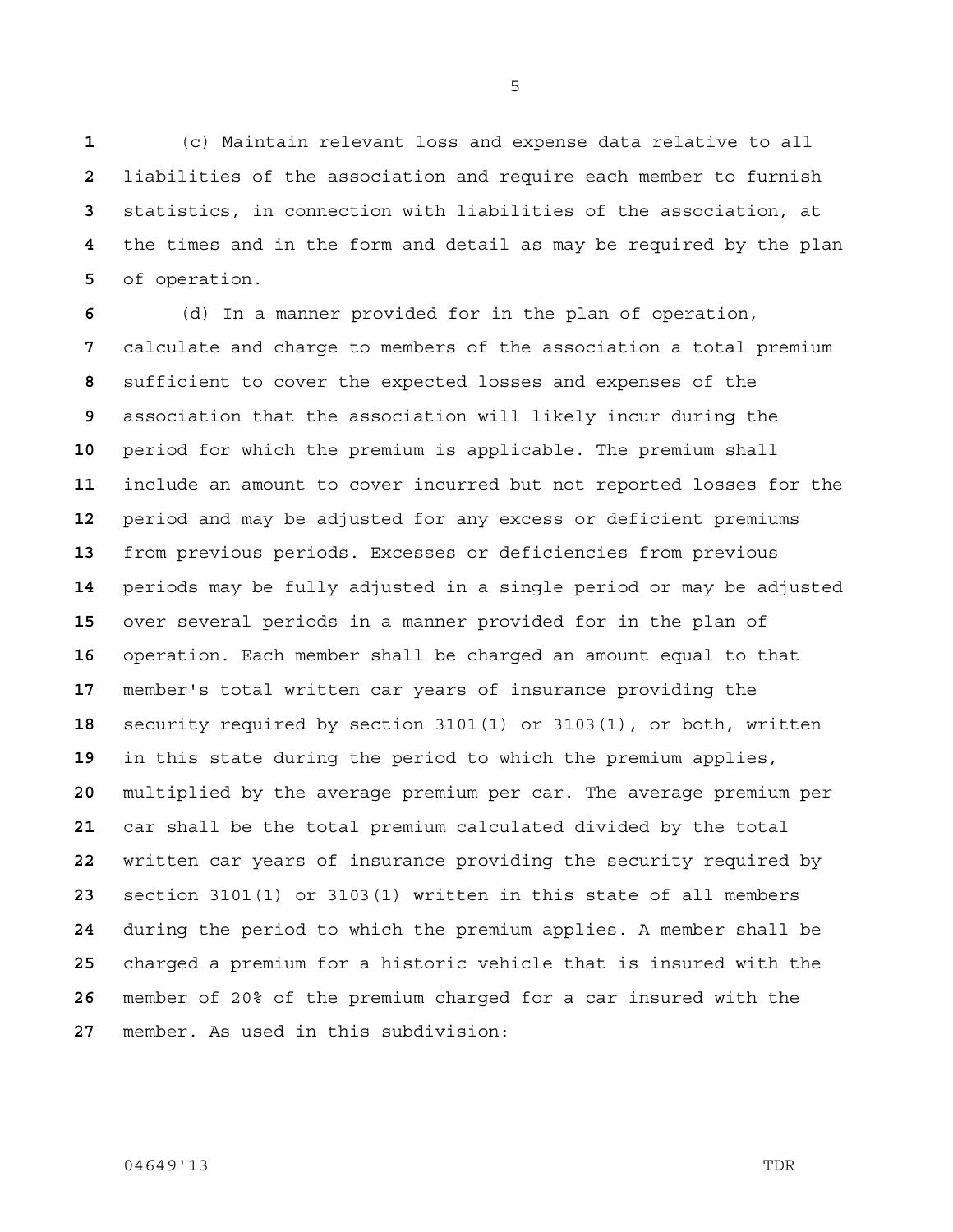(c) Maintain relevant loss and expense data relative to all liabilities of the association and require each member to furnish statistics, in connection with liabilities of the association, at the times and in the form and detail as may be required by the plan of operation.

(d) In a manner provided for in the plan of operation, calculate and charge to members of the association a total premium sufficient to cover the expected losses and expenses of the association that the association will likely incur during the period for which the premium is applicable. The premium shall include an amount to cover incurred but not reported losses for the period and may be adjusted for any excess or deficient premiums from previous periods. Excesses or deficiencies from previous periods may be fully adjusted in a single period or may be adjusted over several periods in a manner provided for in the plan of operation. Each member shall be charged an amount equal to that member's total written car years of insurance providing the security required by section 3101(1) or 3103(1), or both, written in this state during the period to which the premium applies, multiplied by the average premium per car. The average premium per car shall be the total premium calculated divided by the total written car years of insurance providing the security required by section 3101(1) or 3103(1) written in this state of all members during the period to which the premium applies. A member shall be charged a premium for a historic vehicle that is insured with the member of 20% of the premium charged for a car insured with the member. As used in this subdivision: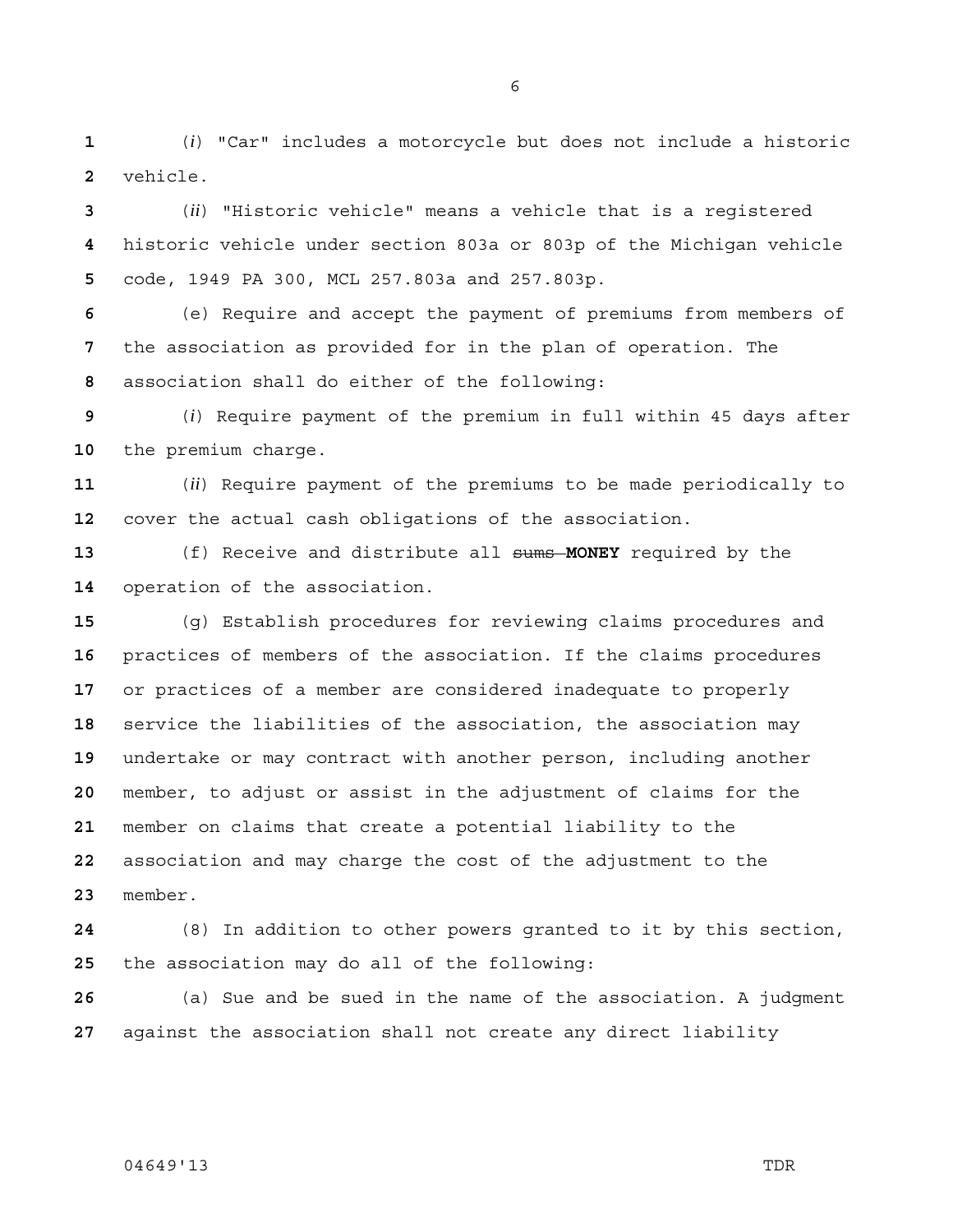(*i*) "Car" includes a motorcycle but does not include a historic vehicle.

(*ii*) "Historic vehicle" means a vehicle that is a registered historic vehicle under section 803a or 803p of the Michigan vehicle code, 1949 PA 300, MCL 257.803a and 257.803p.

(e) Require and accept the payment of premiums from members of the association as provided for in the plan of operation. The association shall do either of the following:

(*i*) Require payment of the premium in full within 45 days after the premium charge.

(*ii*) Require payment of the premiums to be made periodically to cover the actual cash obligations of the association.

(f) Receive and distribute all sums **MONEY** required by the operation of the association.

(g) Establish procedures for reviewing claims procedures and practices of members of the association. If the claims procedures or practices of a member are considered inadequate to properly service the liabilities of the association, the association may undertake or may contract with another person, including another member, to adjust or assist in the adjustment of claims for the member on claims that create a potential liability to the association and may charge the cost of the adjustment to the member.

(8) In addition to other powers granted to it by this section, the association may do all of the following:

(a) Sue and be sued in the name of the association. A judgment against the association shall not create any direct liability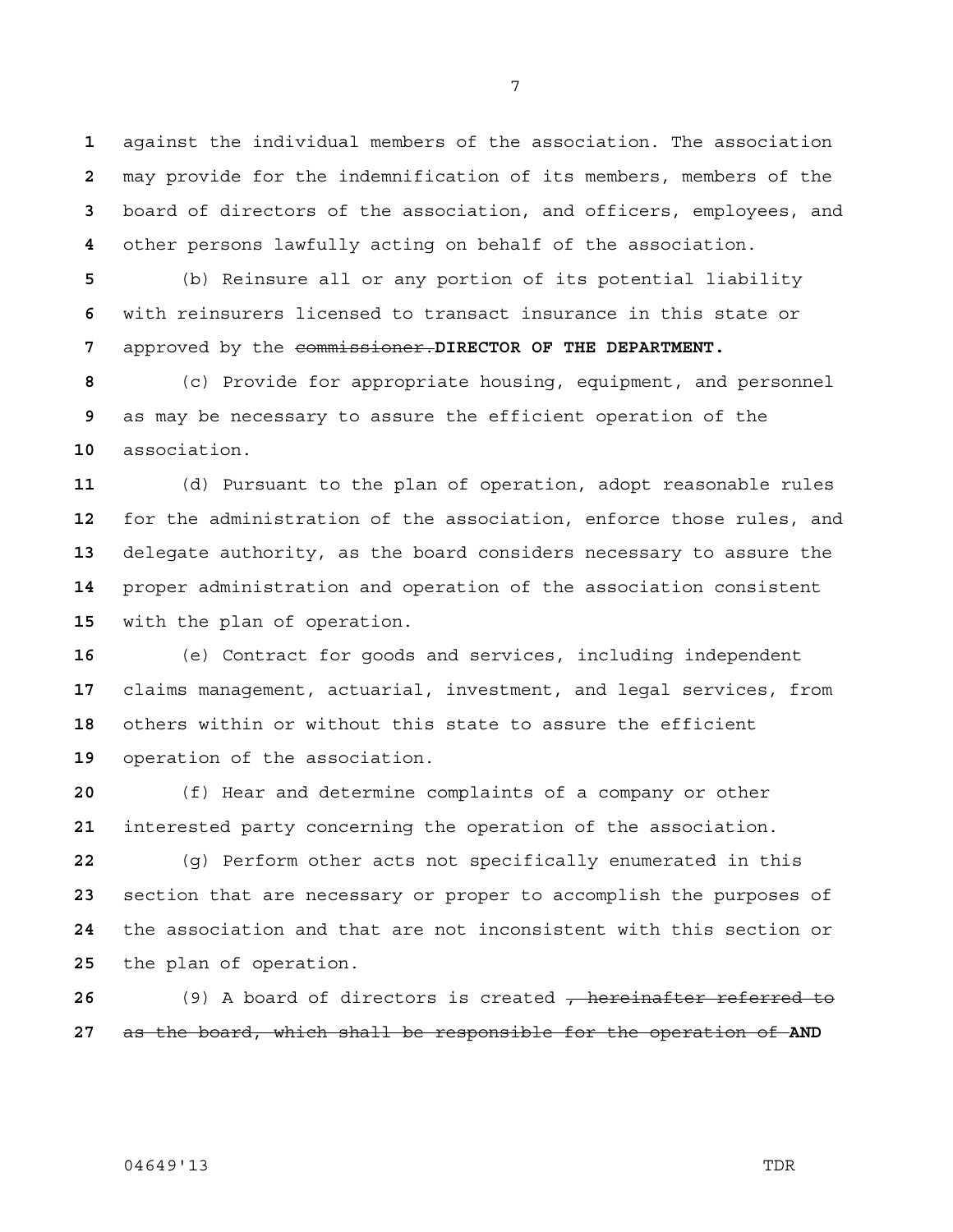against the individual members of the association. The association may provide for the indemnification of its members, members of the board of directors of the association, and officers, employees, and other persons lawfully acting on behalf of the association.

(b) Reinsure all or any portion of its potential liability with reinsurers licensed to transact insurance in this state or approved by the commissioner.**DIRECTOR OF THE DEPARTMENT.**

(c) Provide for appropriate housing, equipment, and personnel as may be necessary to assure the efficient operation of the association.

(d) Pursuant to the plan of operation, adopt reasonable rules for the administration of the association, enforce those rules, and delegate authority, as the board considers necessary to assure the proper administration and operation of the association consistent with the plan of operation.

(e) Contract for goods and services, including independent claims management, actuarial, investment, and legal services, from others within or without this state to assure the efficient operation of the association.

(f) Hear and determine complaints of a company or other interested party concerning the operation of the association.

(g) Perform other acts not specifically enumerated in this section that are necessary or proper to accomplish the purposes of the association and that are not inconsistent with this section or the plan of operation.

(9) A board of directors is created , hereinafter referred to as the board, which shall be responsible for the operation of **AND**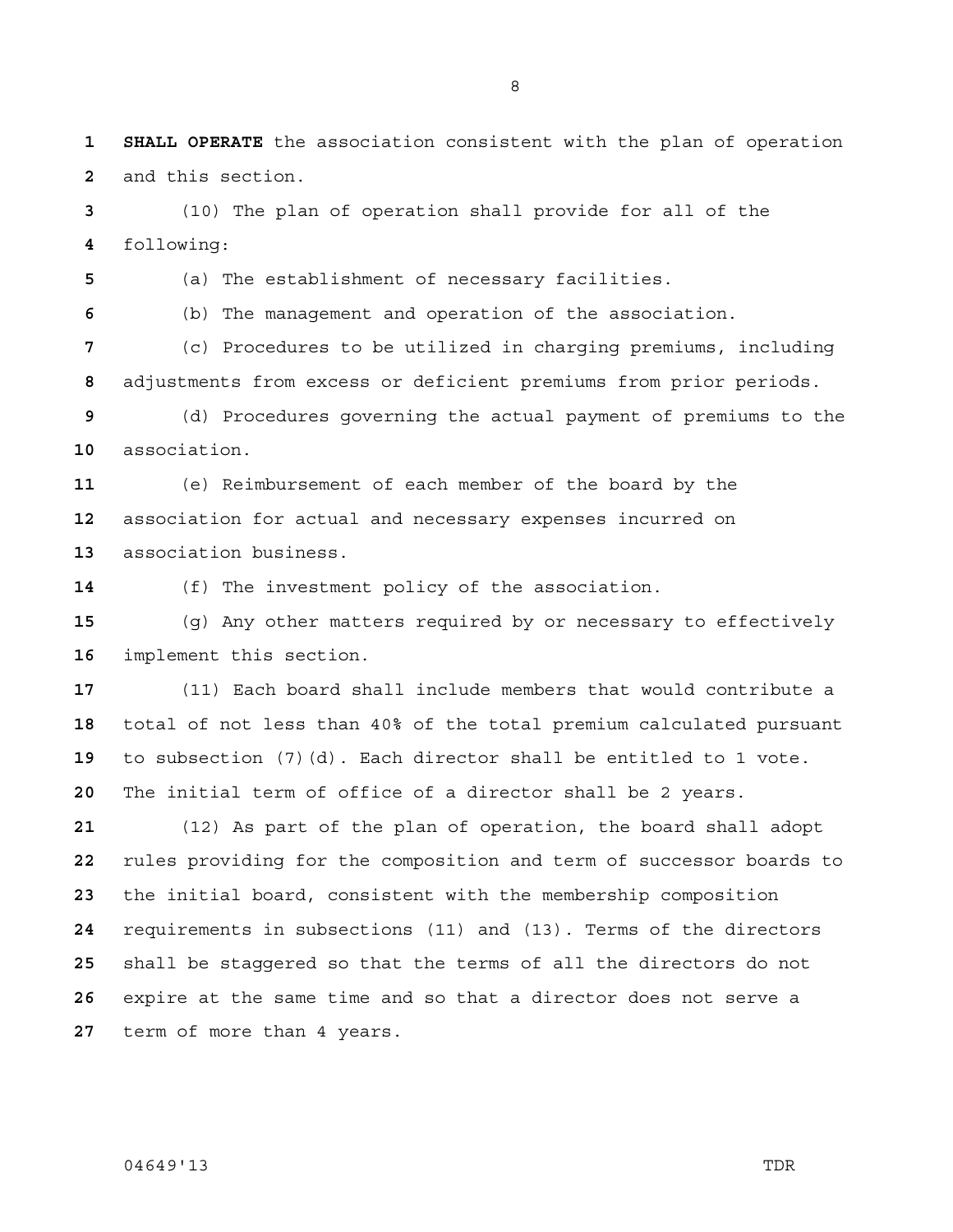**1 SHALL OPERATE** the association consistent with the plan of operation and this section.

(10) The plan of operation shall provide for all of the following:

(a) The establishment of necessary facilities.

(b) The management and operation of the association.

(c) Procedures to be utilized in charging premiums, including adjustments from excess or deficient premiums from prior periods.

(d) Procedures governing the actual payment of premiums to the association.

(e) Reimbursement of each member of the board by the association for actual and necessary expenses incurred on association business.

(f) The investment policy of the association.

(g) Any other matters required by or necessary to effectively implement this section.

(11) Each board shall include members that would contribute a total of not less than 40% of the total premium calculated pursuant to subsection (7)(d). Each director shall be entitled to 1 vote. The initial term of office of a director shall be 2 years.

(12) As part of the plan of operation, the board shall adopt rules providing for the composition and term of successor boards to the initial board, consistent with the membership composition requirements in subsections (11) and (13). Terms of the directors shall be staggered so that the terms of all the directors do not expire at the same time and so that a director does not serve a term of more than 4 years.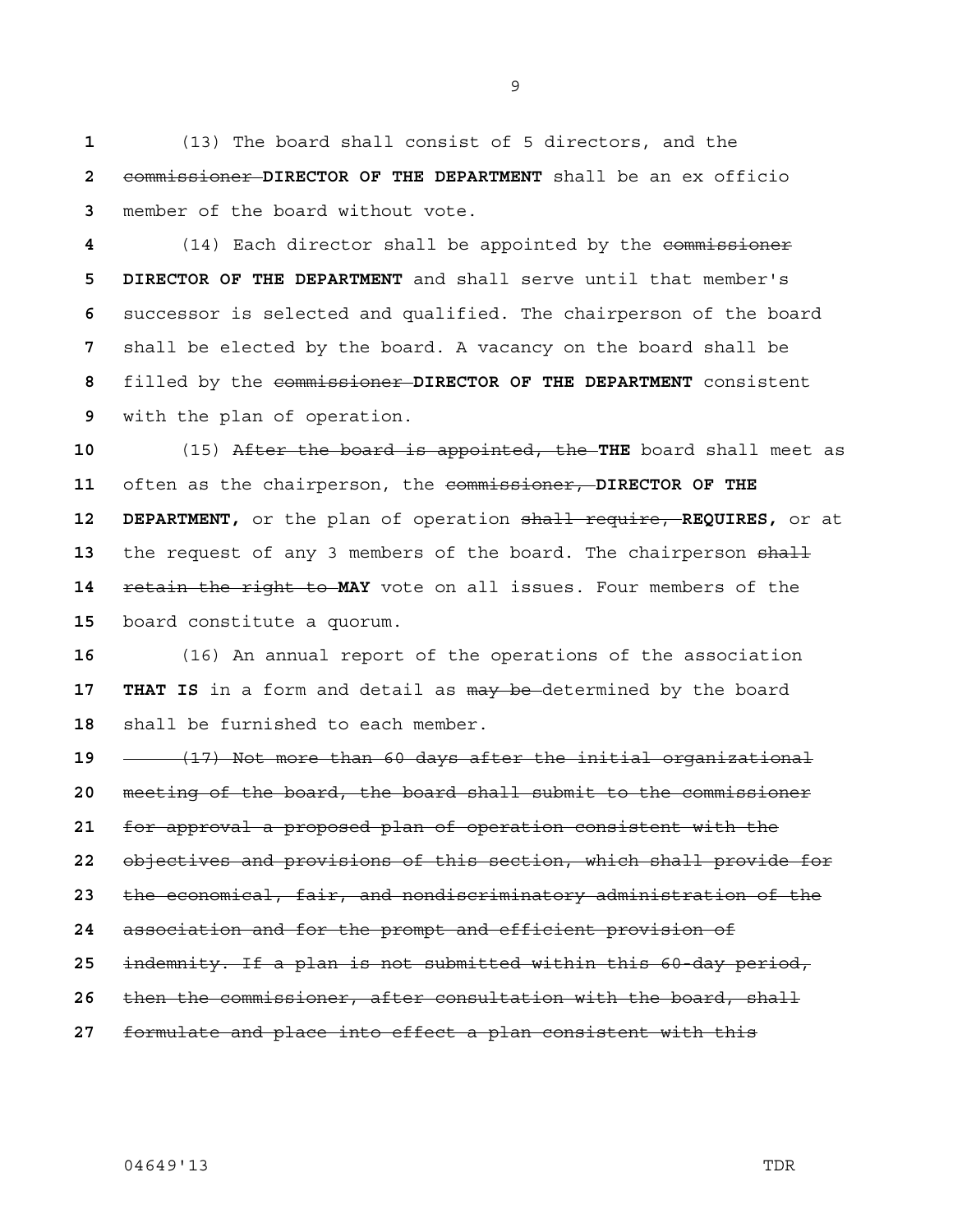(13) The board shall consist of 5 directors, and the commissioner **DIRECTOR OF THE DEPARTMENT** shall be an ex officio member of the board without vote.

(14) Each director shall be appointed by the commissioner **5 DIRECTOR OF THE DEPARTMENT** and shall serve until that member's successor is selected and qualified. The chairperson of the board shall be elected by the board. A vacancy on the board shall be filled by the commissioner **DIRECTOR OF THE DEPARTMENT** consistent with the plan of operation.

(15) After the board is appointed, the **THE** board shall meet as often as the chairperson, the commissioner, **DIRECTOR OF THE 12 DEPARTMENT,** or the plan of operation shall require, **REQUIRES,** or at 13 the request of any 3 members of the board. The chairperson shall retain the right to **MAY** vote on all issues. Four members of the board constitute a quorum.

(16) An annual report of the operations of the association **17 THAT IS** in a form and detail as may be determined by the board shall be furnished to each member.

(17) Not more than 60 days after the initial organizational meeting of the board, the board shall submit to the commissioner for approval a proposed plan of operation consistent with the objectives and provisions of this section, which shall provide for the economical, fair, and nondiscriminatory administration of the association and for the prompt and efficient provision of indemnity. If a plan is not submitted within this 60-day period, then the commissioner, after consultation with the board, shall formulate and place into effect a plan consistent with this

04649'13 TDR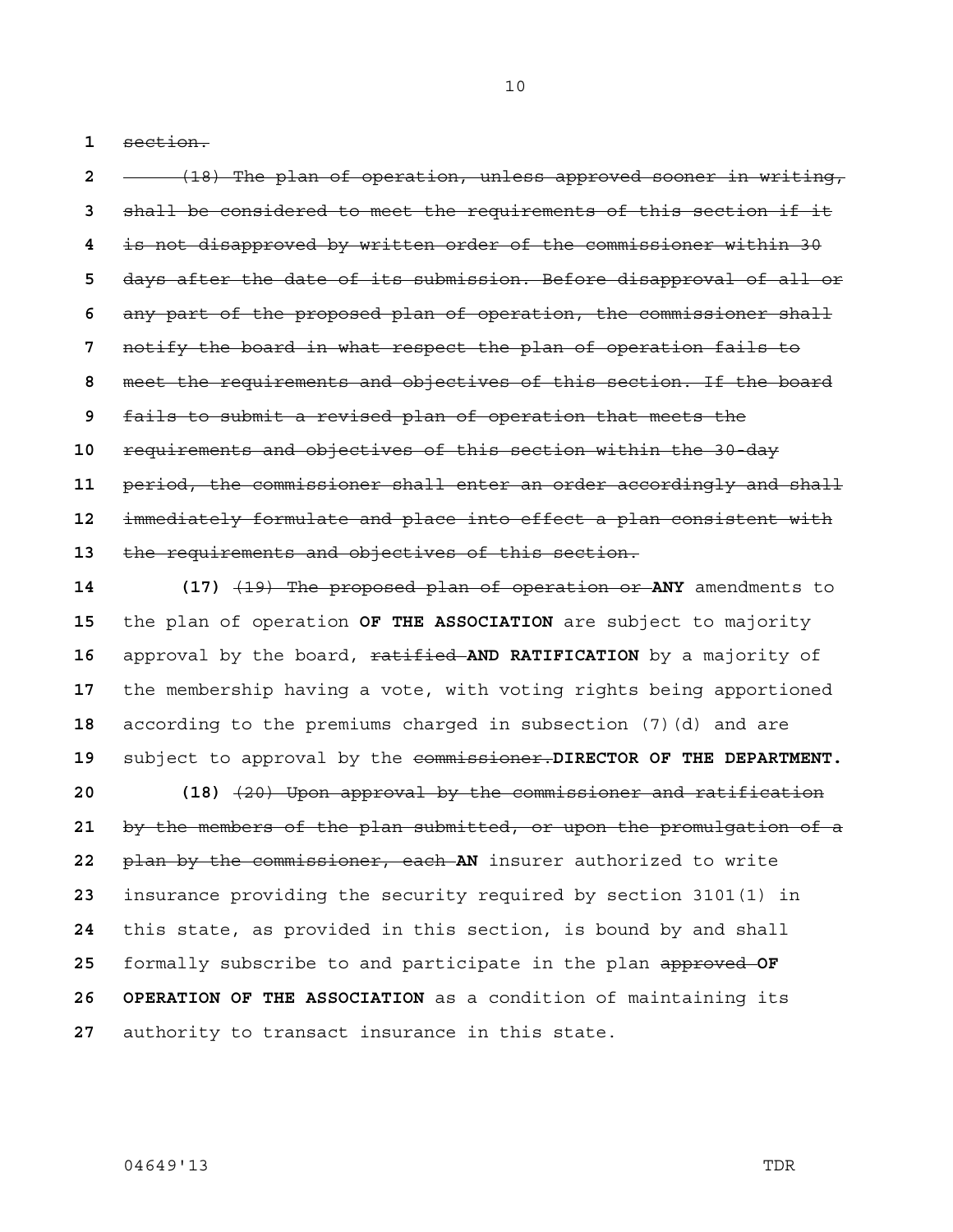section.

(18) The plan of operation, unless approved sooner in writing, shall be considered to meet the requirements of this section if it is not disapproved by written order of the commissioner within 30 days after the date of its submission. Before disapproval of all or any part of the proposed plan of operation, the commissioner shall notify the board in what respect the plan of operation fails to meet the requirements and objectives of this section. If the board fails to submit a revised plan of operation that meets the requirements and objectives of this section within the 30-day period, the commissioner shall enter an order accordingly and shall immediately formulate and place into effect a plan consistent with the requirements and objectives of this section. **14 (17)** (19) The proposed plan of operation or **ANY** amendments to the plan of operation **OF THE ASSOCIATION** are subject to majority 16 approval by the board, ratified AND RATIFICATION by a majority of the membership having a vote, with voting rights being apportioned according to the premiums charged in subsection (7)(d) and are

subject to approval by the commissioner.**DIRECTOR OF THE DEPARTMENT.**

**20 (18)** (20) Upon approval by the commissioner and ratification by the members of the plan submitted, or upon the promulgation of a plan by the commissioner, each **AN** insurer authorized to write insurance providing the security required by section 3101(1) in this state, as provided in this section, is bound by and shall formally subscribe to and participate in the plan approved **OF 26 OPERATION OF THE ASSOCIATION** as a condition of maintaining its authority to transact insurance in this state.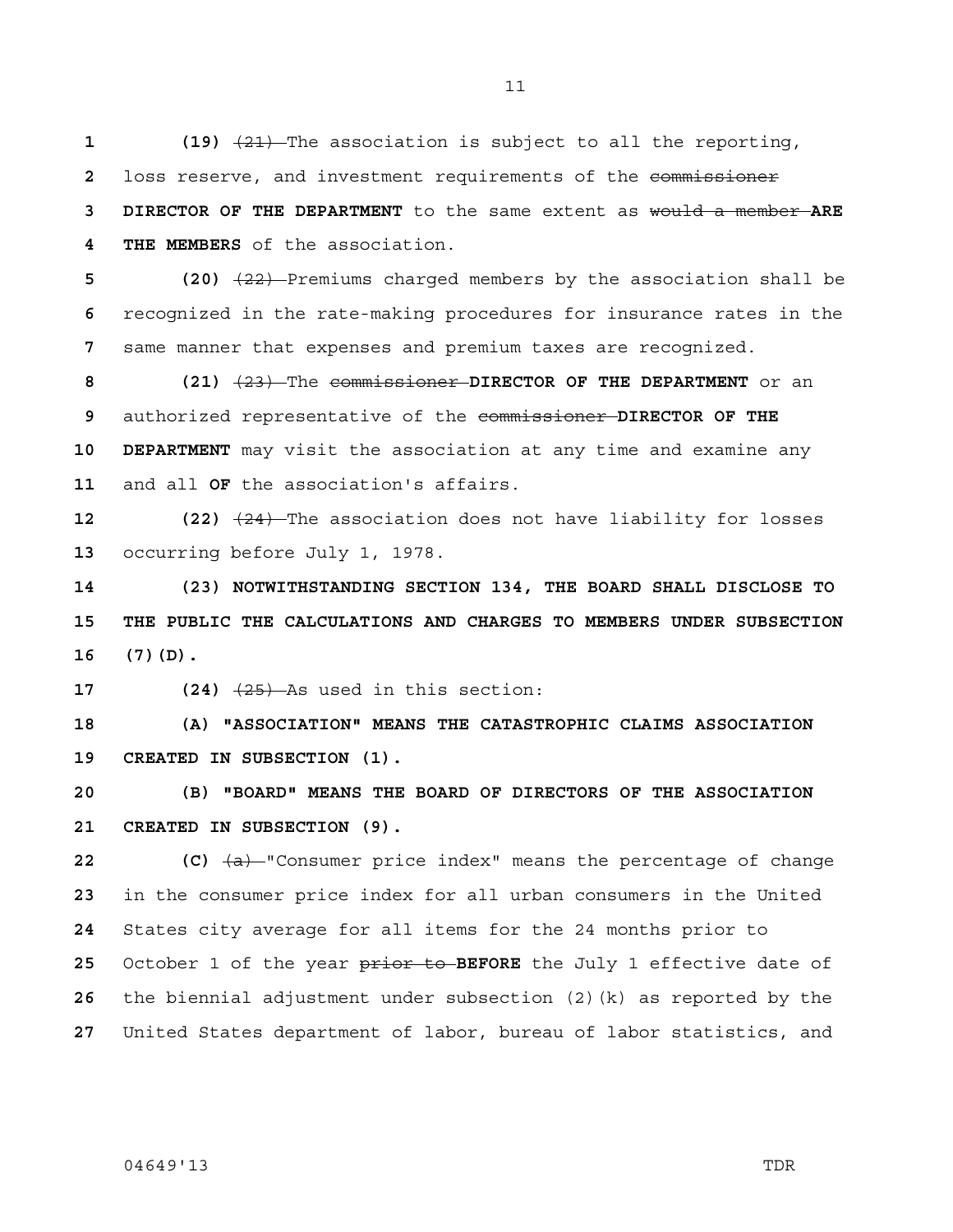**1 (19)** (21) The association is subject to all the reporting, **2** loss reserve, and investment requirements of the commissioner **3 DIRECTOR OF THE DEPARTMENT** to the same extent as would a member **ARE 4 THE MEMBERS** of the association.

**5 (20)** (22) Premiums charged members by the association shall be **6** recognized in the rate-making procedures for insurance rates in the **7** same manner that expenses and premium taxes are recognized.

 (21)  $\left(23\right)$  The commissioner DIRECTOR OF THE DEPARTMENT or an authorized representative of the commissioner **DIRECTOR OF THE 10 DEPARTMENT** may visit the association at any time and examine any and all **OF** the association's affairs.

**12 (22)** (24) The association does not have liability for losses **13** occurring before July 1, 1978.

**14 (23) NOTWITHSTANDING SECTION 134, THE BOARD SHALL DISCLOSE TO 15 THE PUBLIC THE CALCULATIONS AND CHARGES TO MEMBERS UNDER SUBSECTION 16 (7)(D).** 

**17 (24)**  $\left( \frac{25}{25} \right)$  As used in this section:

**18 (A) "ASSOCIATION" MEANS THE CATASTROPHIC CLAIMS ASSOCIATION 19 CREATED IN SUBSECTION (1).** 

**20 (B) "BOARD" MEANS THE BOARD OF DIRECTORS OF THE ASSOCIATION 21 CREATED IN SUBSECTION (9).** 

 **(C)**  $\overline{(a)}$  "Consumer price index" means the percentage of change in the consumer price index for all urban consumers in the United States city average for all items for the 24 months prior to October 1 of the year prior to **BEFORE** the July 1 effective date of the biennial adjustment under subsection (2)(k) as reported by the United States department of labor, bureau of labor statistics, and